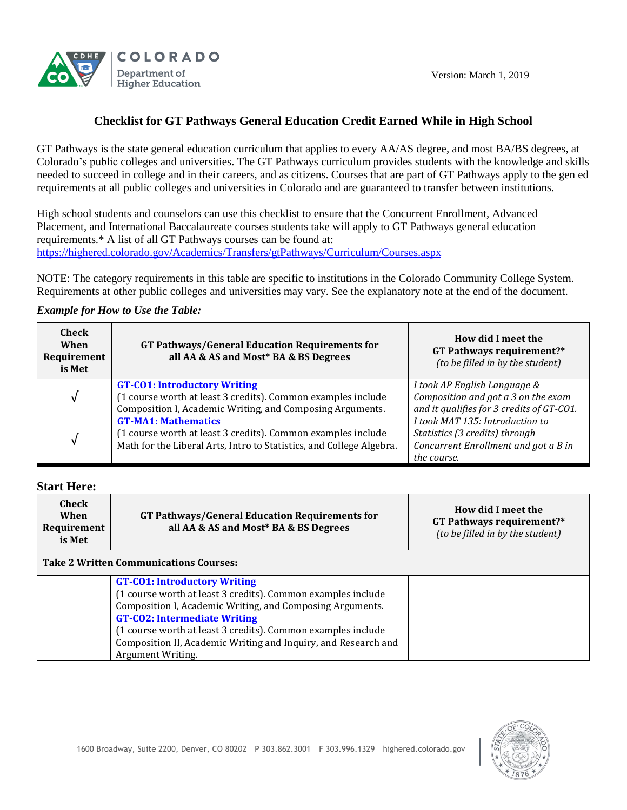



# **Checklist for GT Pathways General Education Credit Earned While in High School**

GT Pathways is the state general education curriculum that applies to every AA/AS degree, and most BA/BS degrees, at Colorado's public colleges and universities. The GT Pathways curriculum provides students with the knowledge and skills needed to succeed in college and in their careers, and as citizens. Courses that are part of GT Pathways apply to the gen ed requirements at all public colleges and universities in Colorado and are guaranteed to transfer between institutions.

High school students and counselors can use this checklist to ensure that the Concurrent Enrollment, Advanced Placement, and International Baccalaureate courses students take will apply to GT Pathways general education requirements.\* A list of all GT Pathways courses can be found at: <https://highered.colorado.gov/Academics/Transfers/gtPathways/Curriculum/Courses.aspx>

NOTE: The category requirements in this table are specific to institutions in the Colorado Community College System. Requirements at other public colleges and universities may vary. See the explanatory note at the end of the document.

# *Example for How to Use the Table:*

| Check<br>When<br>Requirement<br>is Met | <b>GT Pathways/General Education Requirements for</b><br>all AA & AS and Most* BA & BS Degrees                                                                     | How did I meet the<br>GT Pathways requirement?*<br>(to be filled in by the student)                                      |
|----------------------------------------|--------------------------------------------------------------------------------------------------------------------------------------------------------------------|--------------------------------------------------------------------------------------------------------------------------|
| √                                      | <b>GT-CO1: Introductory Writing</b><br>(1 course worth at least 3 credits). Common examples include<br>Composition I, Academic Writing, and Composing Arguments.   | I took AP English Language &<br>Composition and got a 3 on the exam<br>and it qualifies for 3 credits of GT-CO1.         |
| ิง                                     | <b>GT-MA1: Mathematics</b><br>(1 course worth at least 3 credits). Common examples include<br>Math for the Liberal Arts, Intro to Statistics, and College Algebra. | I took MAT 135: Introduction to<br>Statistics (3 credits) through<br>Concurrent Enrollment and got a B in<br>the course. |

### **Start Here:**

| Check<br><b>GT Pathways/General Education Requirements for</b><br>When<br>all AA & AS and Most* BA & BS Degrees<br><b>Requirement</b><br>is Met | How did I meet the<br>GT Pathways requirement?*<br>(to be filled in by the student) |
|-------------------------------------------------------------------------------------------------------------------------------------------------|-------------------------------------------------------------------------------------|
|-------------------------------------------------------------------------------------------------------------------------------------------------|-------------------------------------------------------------------------------------|

# **Take 2 Written Communications Courses:**

| <b>GT-CO1: Introductory Writing</b>                            |  |
|----------------------------------------------------------------|--|
| (1 course worth at least 3 credits). Common examples include   |  |
| Composition I, Academic Writing, and Composing Arguments.      |  |
| <b>GT-CO2: Intermediate Writing</b>                            |  |
| (1 course worth at least 3 credits). Common examples include   |  |
| Composition II, Academic Writing and Inquiry, and Research and |  |
| <b>Argument Writing.</b>                                       |  |

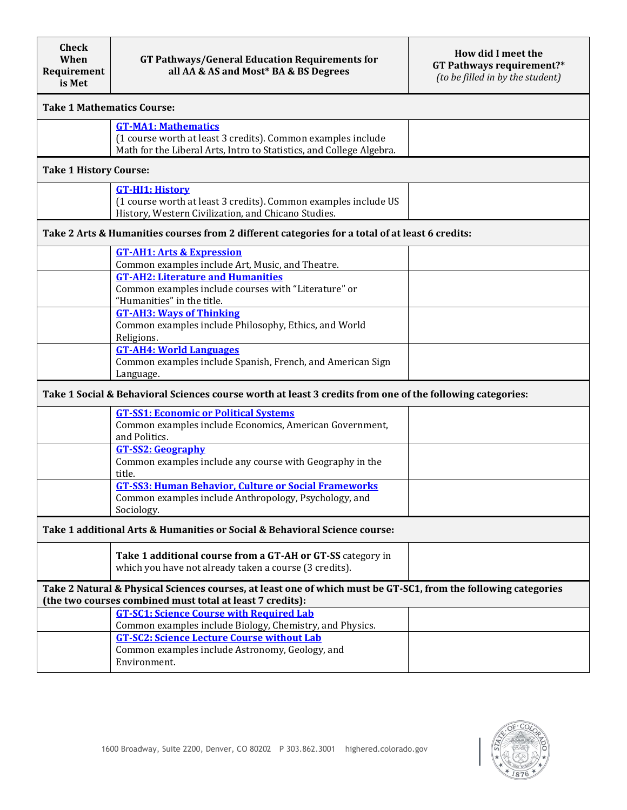| <b>Take 1 Mathematics Course:</b>                                                                                                                                            |                                                                                                                                                                    |  |  |  |
|------------------------------------------------------------------------------------------------------------------------------------------------------------------------------|--------------------------------------------------------------------------------------------------------------------------------------------------------------------|--|--|--|
|                                                                                                                                                                              | <b>GT-MA1: Mathematics</b><br>(1 course worth at least 3 credits). Common examples include<br>Math for the Liberal Arts, Intro to Statistics, and College Algebra. |  |  |  |
| <b>Take 1 History Course:</b>                                                                                                                                                |                                                                                                                                                                    |  |  |  |
|                                                                                                                                                                              | <b>GT-HI1: History</b><br>(1 course worth at least 3 credits). Common examples include US<br>History, Western Civilization, and Chicano Studies.                   |  |  |  |
| Take 2 Arts & Humanities courses from 2 different categories for a total of at least 6 credits:                                                                              |                                                                                                                                                                    |  |  |  |
|                                                                                                                                                                              | <b>GT-AH1: Arts &amp; Expression</b><br>Common examples include Art, Music, and Theatre.                                                                           |  |  |  |
|                                                                                                                                                                              | <b>GT-AH2: Literature and Humanities</b><br>Common examples include courses with "Literature" or<br>"Humanities" in the title.                                     |  |  |  |
|                                                                                                                                                                              | <b>GT-AH3: Ways of Thinking</b><br>Common examples include Philosophy, Ethics, and World<br>Religions.                                                             |  |  |  |
|                                                                                                                                                                              | <b>GT-AH4: World Languages</b><br>Common examples include Spanish, French, and American Sign<br>Language.                                                          |  |  |  |
| Take 1 Social & Behavioral Sciences course worth at least 3 credits from one of the following categories:                                                                    |                                                                                                                                                                    |  |  |  |
|                                                                                                                                                                              | <b>GT-SS1: Economic or Political Systems</b><br>Common examples include Economics, American Government,<br>and Politics.                                           |  |  |  |
|                                                                                                                                                                              | <b>GT-SS2: Geography</b><br>Common examples include any course with Geography in the<br>title.                                                                     |  |  |  |
|                                                                                                                                                                              | <b>GT-SS3: Human Behavior, Culture or Social Frameworks</b><br>Common examples include Anthropology, Psychology, and<br>Sociology.                                 |  |  |  |
| Take 1 additional Arts & Humanities or Social & Behavioral Science course:                                                                                                   |                                                                                                                                                                    |  |  |  |
|                                                                                                                                                                              | Take 1 additional course from a GT-AH or GT-SS category in<br>which you have not already taken a course (3 credits).                                               |  |  |  |
| Take 2 Natural & Physical Sciences courses, at least one of which must be GT-SC1, from the following categories<br>(the two courses combined must total at least 7 credits): |                                                                                                                                                                    |  |  |  |
|                                                                                                                                                                              | <b>GT-SC1: Science Course with Required Lab</b><br>Common examples include Biology, Chemistry, and Physics.                                                        |  |  |  |
|                                                                                                                                                                              | <b>GT-SC2: Science Lecture Course without Lab</b><br>Common examples include Astronomy, Geology, and<br>Environment.                                               |  |  |  |